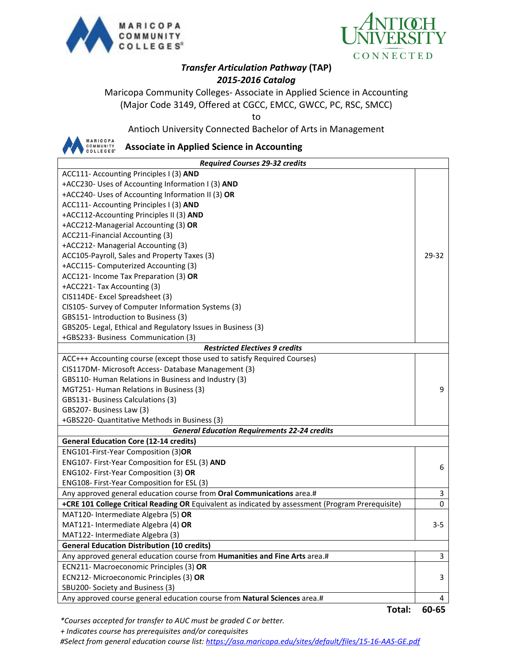



## *Transfer Articulation Pathway* **(TAP)** *2015-2016 Catalog*

Maricopa Community Colleges- Associate in Applied Science in Accounting (Major Code 3149, Offered at CGCC, EMCC, GWCC, PC, RSC, SMCC)

to

Antioch University Connected Bachelor of Arts in Management



**Associate in Applied Science in Accounting**

| <b>Required Courses 29-32 credits</b>                                                             |         |  |
|---------------------------------------------------------------------------------------------------|---------|--|
| ACC111- Accounting Principles I (3) AND                                                           |         |  |
| +ACC230- Uses of Accounting Information I (3) AND                                                 |         |  |
| +ACC240- Uses of Accounting Information II (3) OR                                                 |         |  |
| ACC111- Accounting Principles I (3) AND                                                           |         |  |
| +ACC112-Accounting Principles II (3) AND                                                          |         |  |
| +ACC212-Managerial Accounting (3) OR                                                              |         |  |
| ACC211-Financial Accounting (3)                                                                   |         |  |
| +ACC212- Managerial Accounting (3)                                                                |         |  |
| ACC105-Payroll, Sales and Property Taxes (3)                                                      | 29-32   |  |
| +ACC115- Computerized Accounting (3)                                                              |         |  |
| ACC121- Income Tax Preparation (3) OR                                                             |         |  |
| +ACC221- Tax Accounting (3)                                                                       |         |  |
| CIS114DE-Excel Spreadsheet (3)                                                                    |         |  |
| CIS105- Survey of Computer Information Systems (3)                                                |         |  |
| GBS151- Introduction to Business (3)                                                              |         |  |
| GBS205- Legal, Ethical and Regulatory Issues in Business (3)                                      |         |  |
| +GBS233- Business Communication (3)                                                               |         |  |
| <b>Restricted Electives 9 credits</b>                                                             |         |  |
| ACC+++ Accounting course (except those used to satisfy Required Courses)                          |         |  |
| CIS117DM- Microsoft Access- Database Management (3)                                               |         |  |
| GBS110- Human Relations in Business and Industry (3)                                              |         |  |
| MGT251- Human Relations in Business (3)                                                           | 9       |  |
| GBS131- Business Calculations (3)                                                                 |         |  |
| GBS207- Business Law (3)                                                                          |         |  |
| +GBS220- Quantitative Methods in Business (3)                                                     |         |  |
| <b>General Education Requirements 22-24 credits</b>                                               |         |  |
| <b>General Education Core (12-14 credits)</b>                                                     |         |  |
| ENG101-First-Year Composition (3)OR                                                               |         |  |
| ENG107- First-Year Composition for ESL (3) AND                                                    | 6       |  |
| ENG102- First-Year Composition (3) OR                                                             |         |  |
| ENG108- First-Year Composition for ESL (3)                                                        |         |  |
| Any approved general education course from Oral Communications area.#                             | 3       |  |
| +CRE 101 College Critical Reading OR Equivalent as indicated by assessment (Program Prerequisite) | 0       |  |
| MAT120- Intermediate Algebra (5) OR                                                               |         |  |
| MAT121- Intermediate Algebra (4) OR                                                               | $3 - 5$ |  |
| MAT122- Intermediate Algebra (3)                                                                  |         |  |
| <b>General Education Distribution (10 credits)</b>                                                |         |  |
| Any approved general education course from Humanities and Fine Arts area.#                        | 3       |  |
| ECN211- Macroeconomic Principles (3) OR                                                           |         |  |
| ECN212- Microeconomic Principles (3) OR                                                           | 3       |  |
| SBU200- Society and Business (3)                                                                  |         |  |
| Any approved course general education course from Natural Sciences area.#                         | 4       |  |

**Total: 60-65**

*\*Courses accepted for transfer to AUC must be graded C or better.*

 *+ Indicates course has prerequisites and/or corequisites*

*#Select from general education course list:<https://asa.maricopa.edu/sites/default/files/15-16-AAS-GE.pdf>*